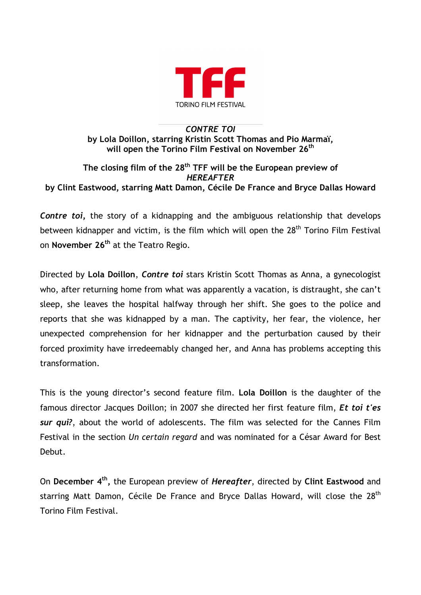

## *CONTRE TOI* **by Lola Doillon, starring Kristin Scott Thomas and Pio Marmaï,** will open the Torino Film Festival on November 26<sup>th</sup>

## **The closing film of the 28th TFF will be the European preview of**  *HEREAFTER* **by Clint Eastwood, starring Matt Damon, Cécile De France and Bryce Dallas Howard**

*Contre toi***,** the story of a kidnapping and the ambiguous relationship that develops between kidnapper and victim, is the film which will open the 28<sup>th</sup> Torino Film Festival on **November 26th** at the Teatro Regio.

Directed by **Lola Doillon**, *Contre toi* stars Kristin Scott Thomas as Anna, a gynecologist who, after returning home from what was apparently a vacation, is distraught, she can't sleep, she leaves the hospital halfway through her shift. She goes to the police and reports that she was kidnapped by a man. The captivity, her fear, the violence, her unexpected comprehension for her kidnapper and the perturbation caused by their forced proximity have irredeemably changed her, and Anna has problems accepting this transformation.

This is the young director's second feature film. **Lola Doillon** is the daughter of the famous director Jacques Doillon; in 2007 she directed her first feature film, *Et toi t'es sur qui?*, about the world of adolescents. The film was selected for the Cannes Film Festival in the section *Un certain regard* and was nominated for a César Award for Best Debut.

On **December 4th,** the European preview of *Hereafter*, directed by **Clint Eastwood** and starring Matt Damon, Cécile De France and Bryce Dallas Howard, will close the 28<sup>th</sup> Torino Film Festival.